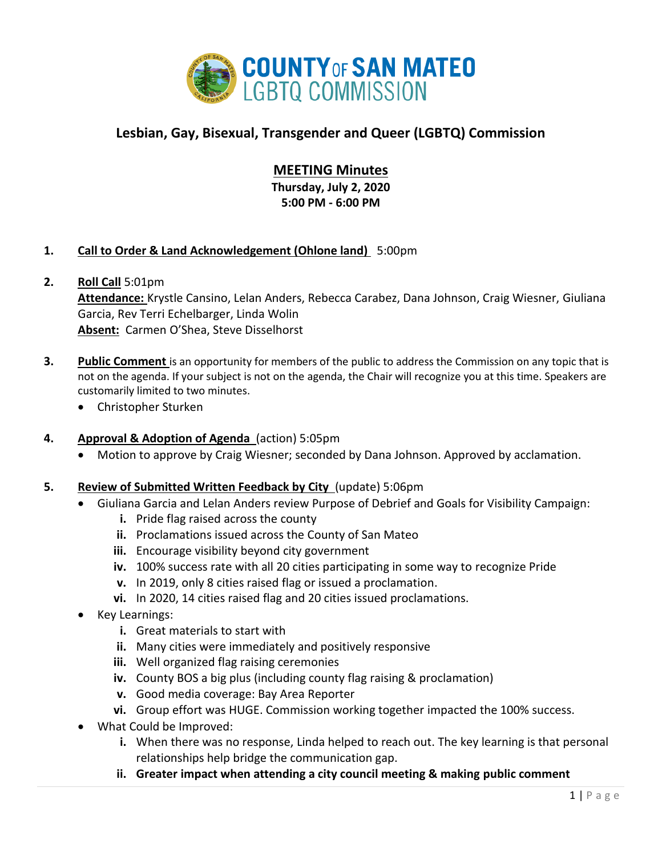

# **Lesbian, Gay, Bisexual, Transgender and Queer (LGBTQ) Commission**

## **MEETING Minutes**

**Thursday, July 2, 2020 5:00 PM - 6:00 PM**

## **1. Call to Order & Land Acknowledgement (Ohlone land)** 5:00pm

**2. Roll Call** 5:01pm

**Attendance:** Krystle Cansino, Lelan Anders, Rebecca Carabez, Dana Johnson, Craig Wiesner, Giuliana Garcia, Rev Terri Echelbarger, Linda Wolin **Absent:** Carmen O'Shea, Steve Disselhorst

- **3. Public Comment** is an opportunity for members of the public to address the Commission on any topic that is not on the agenda. If your subject is not on the agenda, the Chair will recognize you at this time. Speakers are customarily limited to two minutes.
	- Christopher Sturken

## **4. Approval & Adoption of Agenda** (action) 5:05pm

• Motion to approve by Craig Wiesner; seconded by Dana Johnson. Approved by acclamation.

#### **5. Review of Submitted Written Feedback by City** (update) 5:06pm

- Giuliana Garcia and Lelan Anders review Purpose of Debrief and Goals for Visibility Campaign:
	- **i.** Pride flag raised across the county
	- **ii.** Proclamations issued across the County of San Mateo
	- **iii.** Encourage visibility beyond city government
	- **iv.** 100% success rate with all 20 cities participating in some way to recognize Pride
	- **v.** In 2019, only 8 cities raised flag or issued a proclamation.
	- **vi.** In 2020, 14 cities raised flag and 20 cities issued proclamations.
- Key Learnings:
	- **i.** Great materials to start with
	- **ii.** Many cities were immediately and positively responsive
	- **iii.** Well organized flag raising ceremonies
	- **iv.** County BOS a big plus (including county flag raising & proclamation)
	- **v.** Good media coverage: Bay Area Reporter
	- **vi.** Group effort was HUGE. Commission working together impacted the 100% success.
- What Could be Improved:
	- **i.** When there was no response, Linda helped to reach out. The key learning is that personal relationships help bridge the communication gap.
	- **ii. Greater impact when attending a city council meeting & making public comment**